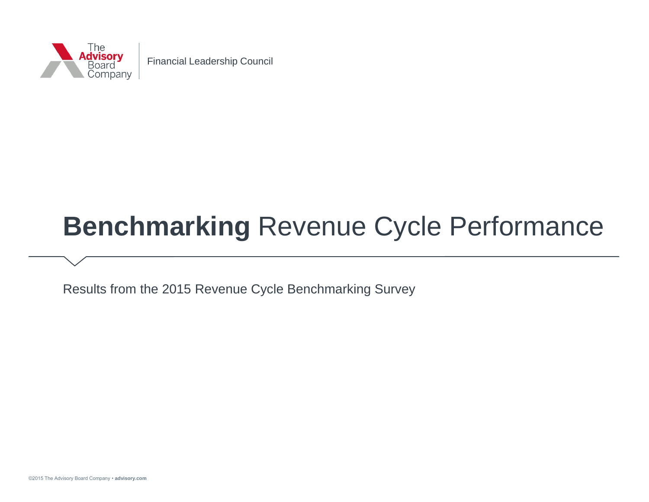

# **Benchmarking** Revenue Cycle Performance

Results from the 2015 Revenue Cycle Benchmarking Survey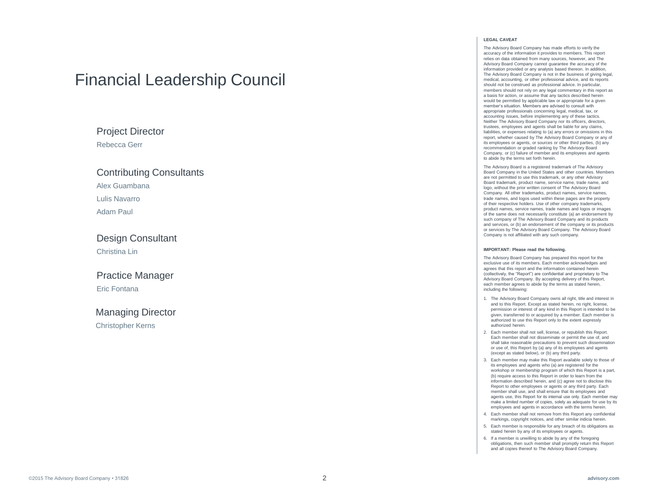### Financial Leadership Council

### Project Director

Rebecca Gerr

#### Contributing Consultants Alex Guambana

#### Lulis Navarro

Adam Paul

#### Design Consultant Christina Lin

#### Practice Manager Eric Fontana

### Managing Director

Christopher Kerns

#### **LEGAL CAVEAT**

The Advisory Board Company has made efforts to verify the accuracy of the information it provides to members. This report relies on data obtained from many sources, however, and The Advisory Board Company cannot guarantee the accuracy of the information provided or any analysis based thereon. In addition, The Advisory Board Company is not in the business of giving legal, medical, accounting, or other professional advice, and its reports should not be construed as professional advice. In particular, members should not rely on any legal commentary in this report as a basis for action, or assume that any tactics described herein would be permitted by applicable law or appropriate for a given member's situation. Members are advised to consult with annropriate professionals concerning legal, medical, tax, or accounting issues, before implementing any of these tactics. Neither The Advisory Board Company nor its officers, directors, trustees, employees and agents shall be liable for any claims, liabilities, or expenses relating to (a) any errors or omissions in this report, whether caused by The Advisory Board Company or any of its employees or agents, or sources or other third parties, (b) any recommendation or graded ranking by The Advisory Board Company, or (c) failure of member and its employees and agents to abide by the terms set forth herein.

The Advisory Board is a registered trademark of The Advisory Board Company in the United States and other countries. Members are not permitted to use this trademark, or any other Advisory Board trademark, product name, service name, trade name, and logo, without the prior written consent of The Advisory Board Company. All other trademarks, product names, service names, trade names, and logos used within these pages are the property of their respective holders. Use of other company trademarks, product names, service names, trade names and logos or images of the same does not necessarily constitute (a) an endorsement by such company of The Advisory Board Company and its products and services, or (b) an endorsement of the company or its products or services by The Advisory Board Company. The Advisory Board Company is not affiliated with any such company.

#### **IMPORTANT: Please read the following.**

The Advisory Board Company has prepared this report for the exclusive use of its members. Each member acknowledges and agrees that this report and the information contained herein (collectively, the "Report") are confidential and proprietary to The Advisory Board Company. By accepting delivery of this Report, each member agrees to abide by the terms as stated herein, including the following:

- 1. The Advisory Board Company owns all right, title and interest in and to this Report. Except as stated herein, no right, license, permission or interest of any kind in this Report is intended to be given, transferred to or acquired by a member. Each member is authorized to use this Report only to the extent expressly authorized herein.
- 2. Each member shall not sell, license, or republish this Report. Each member shall not disseminate or permit the use of, and shall take reasonable precautions to prevent such dissemination or use of, this Report by (a) any of its employees and agents (except as stated below), or (b) any third party.
- 3. Each member may make this Report available solely to those of its employees and agents who (a) are registered for the workshop or membership program of which this Report is a part, (b) require access to this Report in order to learn from the information described herein, and (c) agree not to disclose this Report to other employees or agents or any third party. Each member shall use, and shall ensure that its employees and agents use, this Report for its internal use only. Each member may make a limited number of copies, solely as adequate for use by its employees and agents in accordance with the terms herein.
- 4. Each member shall not remove from this Report any confidential markings, copyright notices, and other similar indicia herein.
- 5. Each member is responsible for any breach of its obligations as stated herein by any of its employees or agents.
- 6. If a member is unwilling to abide by any of the foregoing obligations, then such member shall promptly return this Report and all copies thereof to The Advisory Board Company.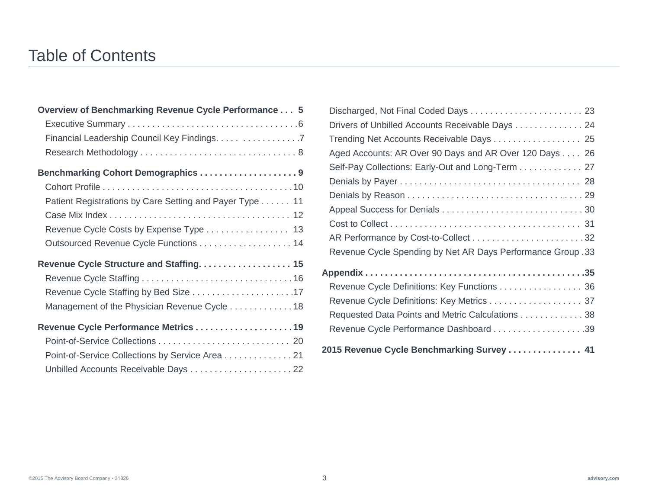### Table of Contents

| Overview of Benchmarking Revenue Cycle Performance 5    |
|---------------------------------------------------------|
|                                                         |
| Financial Leadership Council Key Findings. 7            |
|                                                         |
| Benchmarking Cohort Demographics 9                      |
|                                                         |
| Patient Registrations by Care Setting and Payer Type 11 |
|                                                         |
|                                                         |
| Outsourced Revenue Cycle Functions 14                   |
| Revenue Cycle Structure and Staffing. 15                |
|                                                         |
|                                                         |
| Management of the Physician Revenue Cycle 18            |
|                                                         |
|                                                         |
| Point-of-Service Collections by Service Area 21         |
|                                                         |

| Drivers of Unbilled Accounts Receivable Days 24             |
|-------------------------------------------------------------|
| Trending Net Accounts Receivable Days 25                    |
| Aged Accounts: AR Over 90 Days and AR Over 120 Days 26      |
| Self-Pay Collections: Early-Out and Long-Term 27            |
|                                                             |
|                                                             |
|                                                             |
|                                                             |
|                                                             |
| Revenue Cycle Spending by Net AR Days Performance Group. 33 |
|                                                             |
| Revenue Cycle Definitions: Key Functions 36                 |
| Revenue Cycle Definitions: Key Metrics 37                   |
| Requested Data Points and Metric Calculations 38            |
| Revenue Cycle Performance Dashboard 39                      |
| 2015 Revenue Cycle Benchmarking Survey  41                  |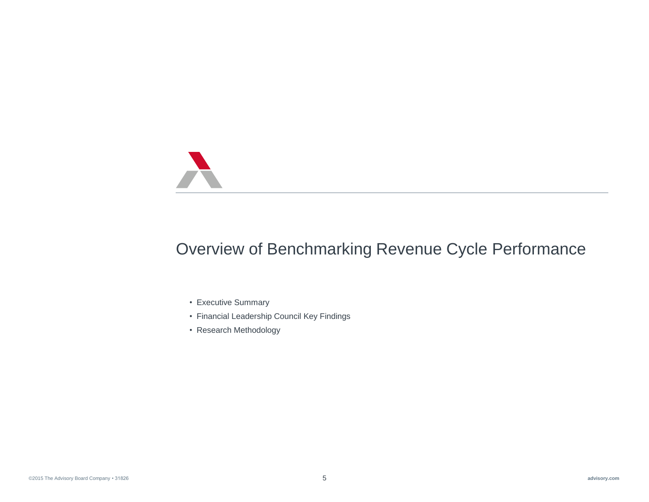

## Overview of Benchmarking Revenue Cycle Performance

- Executive Summary
- Financial Leadership Council Key Findings
- Research Methodology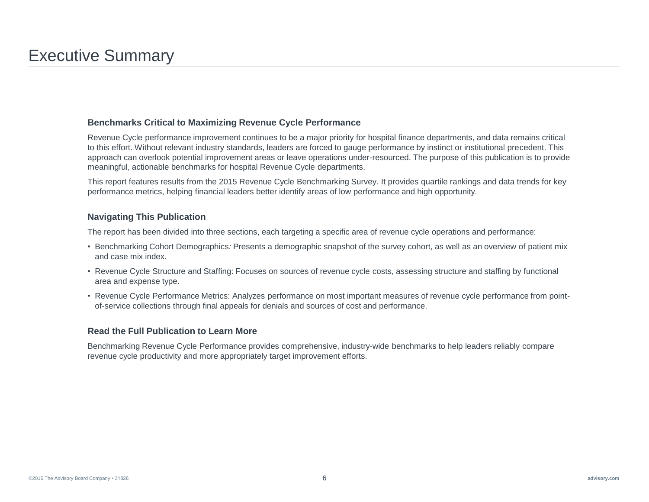#### **Benchmarks Critical to Maximizing Revenue Cycle Performance**

Revenue Cycle performance improvement continues to be a major priority for hospital finance departments, and data remains critical to this effort. Without relevant industry standards, leaders are forced to gauge performance by instinct or institutional precedent. This approach can overlook potential improvement areas or leave operations under-resourced. The purpose of this publication is to provide meaningful, actionable benchmarks for hospital Revenue Cycle departments.

This report features results from the 2015 Revenue Cycle Benchmarking Survey. It provides quartile rankings and data trends for key performance metrics, helping financial leaders better identify areas of low performance and high opportunity.

#### **Navigating This Publication**

The report has been divided into three sections, each targeting a specific area of revenue cycle operations and performance:

- Benchmarking Cohort Demographics*:* Presents a demographic snapshot of the survey cohort, as well as an overview of patient mix and case mix index.
- Revenue Cycle Structure and Staffing: Focuses on sources of revenue cycle costs, assessing structure and staffing by functional area and expense type.
- Revenue Cycle Performance Metrics: Analyzes performance on most important measures of revenue cycle performance from pointof-service collections through final appeals for denials and sources of cost and performance.

#### **Read the Full Publication to Learn More**

Benchmarking Revenue Cycle Performance provides comprehensive, industry-wide benchmarks to help leaders reliably compare revenue cycle productivity and more appropriately target improvement efforts.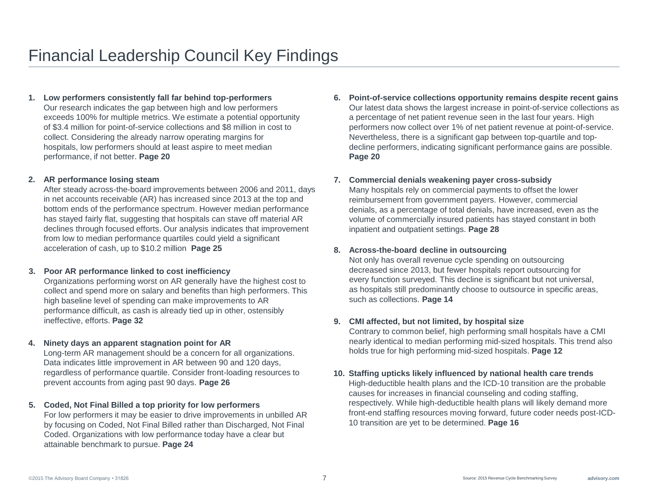#### **1. Low performers consistently fall far behind top-performers**

Our research indicates the gap between high and low performers exceeds 100% for multiple metrics. We estimate a potential opportunity of \$3.4 million for point-of-service collections and \$8 million in cost to collect. Considering the already narrow operating margins for hospitals, low performers should at least aspire to meet median performance, if not better. **Page 20**

#### **2. AR performance losing steam**

After steady across-the-board improvements between 2006 and 2011, days in net accounts receivable (AR) has increased since 2013 at the top and bottom ends of the performance spectrum. However median performance has stayed fairly flat, suggesting that hospitals can stave off material AR declines through focused efforts. Our analysis indicates that improvement from low to median performance quartiles could yield a significant acceleration of cash, up to \$10.2 million **Page 25**

#### **3. Poor AR performance linked to cost inefficiency**

Organizations performing worst on AR generally have the highest cost to collect and spend more on salary and benefits than high performers. This high baseline level of spending can make improvements to AR performance difficult, as cash is already tied up in other, ostensibly ineffective, efforts. **Page 32**

#### **4. Ninety days an apparent stagnation point for AR**

Long-term AR management should be a concern for all organizations. Data indicates little improvement in AR between 90 and 120 days, regardless of performance quartile. Consider front-loading resources to prevent accounts from aging past 90 days. **Page 26**

#### **5. Coded, Not Final Billed a top priority for low performers**

For low performers it may be easier to drive improvements in unbilled AR by focusing on Coded, Not Final Billed rather than Discharged, Not Final Coded. Organizations with low performance today have a clear but attainable benchmark to pursue. **Page 24**

**6. Point-of-service collections opportunity remains despite recent gains** Our latest data shows the largest increase in point-of-service collections as a percentage of net patient revenue seen in the last four years. High performers now collect over 1% of net patient revenue at point-of-service. Nevertheless, there is a significant gap between top-quartile and topdecline performers, indicating significant performance gains are possible. **Page 20**

#### **7. Commercial denials weakening payer cross-subsidy**

Many hospitals rely on commercial payments to offset the lower reimbursement from government payers. However, commercial denials, as a percentage of total denials, have increased, even as the volume of commercially insured patients has stayed constant in both inpatient and outpatient settings. **Page 28**

#### **8. Across-the-board decline in outsourcing**

Not only has overall revenue cycle spending on outsourcing decreased since 2013, but fewer hospitals report outsourcing for every function surveyed. This decline is significant but not universal, as hospitals still predominantly choose to outsource in specific areas, such as collections. **Page 14**

#### **9. CMI affected, but not limited, by hospital size**

Contrary to common belief, high performing small hospitals have a CMI nearly identical to median performing mid-sized hospitals. This trend also holds true for high performing mid-sized hospitals. **Page 12**

#### **10. Staffing upticks likely influenced by national health care trends**

High-deductible health plans and the ICD-10 transition are the probable causes for increases in financial counseling and coding staffing, respectively. While high-deductible health plans will likely demand more front-end staffing resources moving forward, future coder needs post-ICD-10 transition are yet to be determined. **Page 16**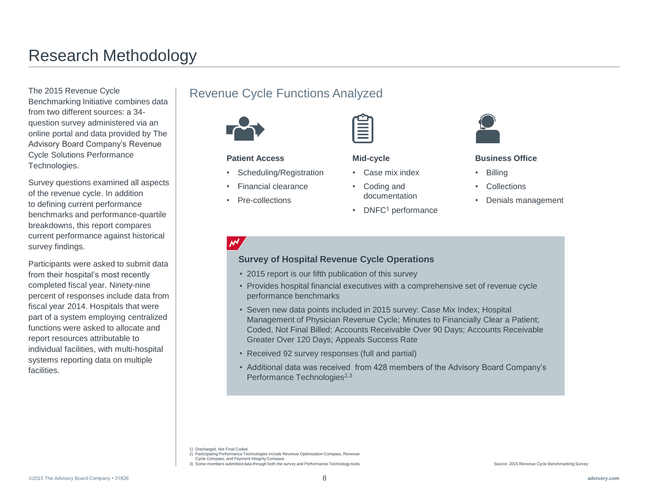## Research Methodology

The 2015 Revenue Cycle Benchmarking Initiative combines data from two different sources: a 34 question survey administered via an online portal and data provided by The Advisory Board Company's Revenue Cycle Solutions Performance Technologies.

Survey questions examined all aspects of the revenue cycle. In addition to defining current performance benchmarks and performance-quartile breakdowns, this report compares current performance against historical survey findings.

Participants were asked to submit data from their hospital's most recently completed fiscal year. Ninety-nine percent of responses include data from fiscal year 2014. Hospitals that were part of a system employing centralized functions were asked to allocate and report resources attributable to individual facilities, with multi-hospital systems reporting data on multiple **facilities** 

### Revenue Cycle Functions Analyzed



#### **Patient Access**

- Scheduling/Registration
- Financial clearance
- Pre-collections



#### **Mid-cycle**

- Case mix index
- Coding and documentation
- DNFC<sup>1</sup> performance



#### **Business Office**

- Billing
- **Collections**
- Denials management

#### **Survey of Hospital Revenue Cycle Operations**

- 2015 report is our fifth publication of this survey
- Provides hospital financial executives with a comprehensive set of revenue cycle performance benchmarks
- Seven new data points included in 2015 survey: Case Mix Index; Hospital Management of Physician Revenue Cycle; Minutes to Financially Clear a Patient; Coded, Not Final Billed; Accounts Receivable Over 90 Days; Accounts Receivable Greater Over 120 Days; Appeals Success Rate
- Received 92 survey responses (full and partial)
- Additional data was received from 428 members of the Advisory Board Company's Performance Technologies<sup>2,3</sup>

1) Discharged, Not Final Coded.

- 2) Participating Performance Technologies include Revenue Optimization Compass, Revenue
- Cycle Compass, and Payment Integrity Compass. 3) Some members submitted data through both the survey and Performance Technology tools.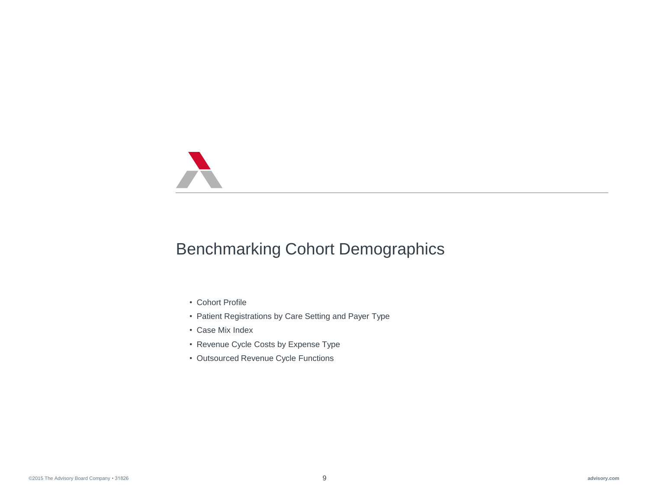

## Benchmarking Cohort Demographics

- Cohort Profile
- Patient Registrations by Care Setting and Payer Type
- Case Mix Index
- Revenue Cycle Costs by Expense Type
- Outsourced Revenue Cycle Functions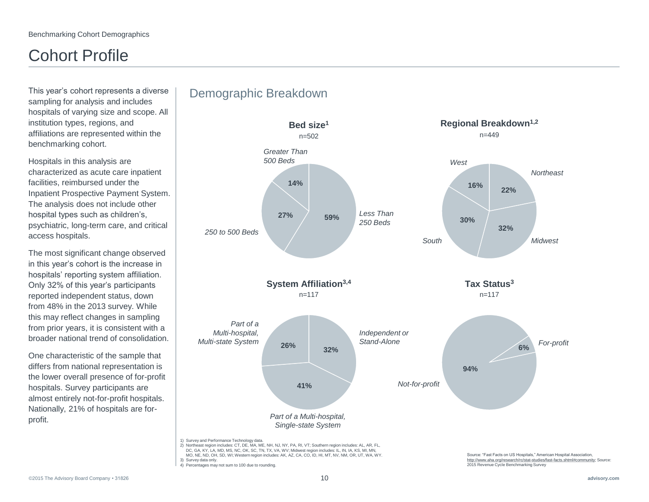## Cohort Profile

This year's cohort represents a diverse sampling for analysis and includes hospitals of varying size and scope. All institution types, regions, and affiliations are represented within the benchmarking cohort.

Hospitals in this analysis are characterized as acute care inpatient facilities, reimbursed under the Inpatient Prospective Payment System. The analysis does not include other hospital types such as children's, psychiatric, long-term care, and critical access hospitals.

The most significant change observed in this year's cohort is the increase in hospitals' reporting system affiliation. Only 32% of this year's participants reported independent status, down from 48% in the 2013 survey. While this may reflect changes in sampling from prior years, it is consistent with a broader national trend of consolidation.

One characteristic of the sample that differs from national representation is the lower overall presence of for-profit hospitals. Survey participants are almost entirely not-for-profit hospitals. Nationally, 21% of hospitals are forprofit.

### Demographic Breakdown



3) Survey data only. 4) Percentages may not sum to 100 due to rounding. http://www.aha.org/research/rc/stat-studies/fast-facts.shtml#community; Source: 2015 Revenue Cycle Benchmarking Survey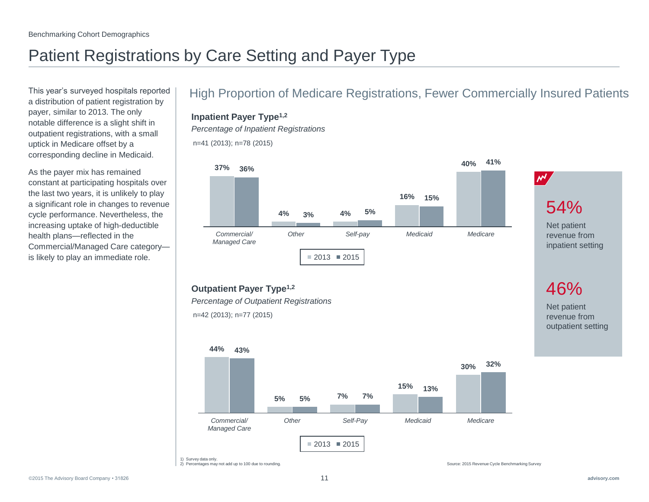# Patient Registrations by Care Setting and Payer Type

a distribution of patient registration by payer, similar to 2013. The only notable difference is a slight shift in outpatient registrations, with a small uptick in Medicare offset by a corresponding decline in Medicaid.

As the payer mix has remained constant at participating hospitals over the last two years, it is unlikely to play a significant role in changes to revenue cycle performance. Nevertheless, the increasing uptake of high-deductible health plans—reflected in the Commercial/Managed Care category is likely to play an immediate role.

### This year's surveyed hospitals reported | High Proportion of Medicare Registrations, Fewer Commercially Insured Patients

### **Inpatient Payer Type1,2**

*Percentage of Inpatient Registrations*



**Outpatient Payer Type1,2**







1) Survey data only.<br>2) Percentages may not add up to 100 due to rounding.

Source: 2015 Revenue Cycle Benchmarking Survey

Net patient revenue from outpatient setting

46%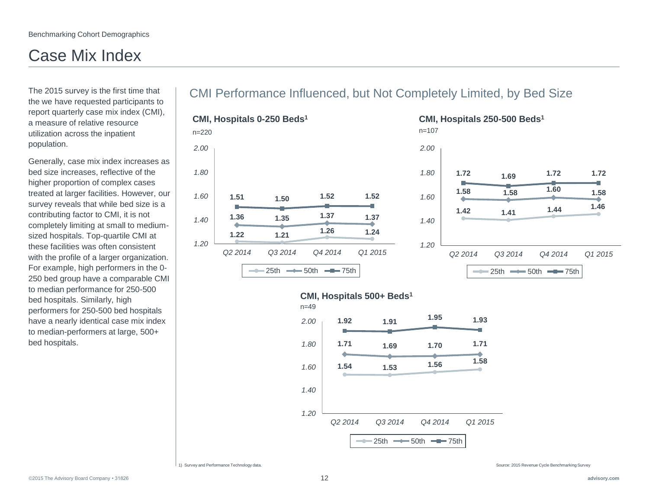# Case Mix Index

The 2015 survey is the first time that the we have requested participants to report quarterly case mix index (CMI), a measure of relative resource utilization across the inpatient population.

Generally, case mix index increases as bed size increases, reflective of the higher proportion of complex cases treated at larger facilities. However, our survey reveals that while bed size is a contributing factor to CMI, it is not completely limiting at small to mediumsized hospitals. Top-quartile CMI at these facilities was often consistent with the profile of a larger organization. For example, high performers in the 0- 250 bed group have a comparable CMI to median performance for 250-500 bed hospitals. Similarly, high performers for 250-500 bed hospitals have a nearly identical case mix index to median-performers at large, 500+ bed hospitals.

### CMI Performance Influenced, but Not Completely Limited, by Bed Size







1) Survey and Performance Technology data. Source: 2015 Revenue Cycle Benchmarking Survey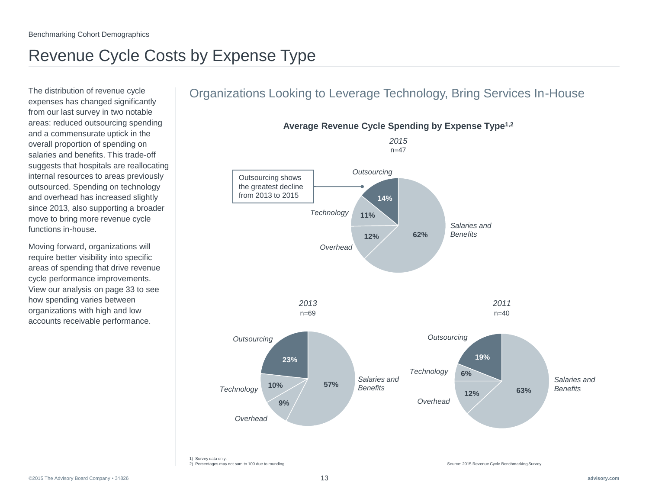# Revenue Cycle Costs by Expense Type

The distribution of revenue cycle expenses has changed significantly from our last survey in two notable areas: reduced outsourcing spending and a commensurate uptick in the overall proportion of spending on salaries and benefits. This trade-off suggests that hospitals are reallocating internal resources to areas previously outsourced. Spending on technology and overhead has increased slightly since 2013, also supporting a broader move to bring more revenue cycle functions in-house.

Moving forward, organizations will require better visibility into specific areas of spending that drive revenue cycle performance improvements. View our analysis on page 33 to see how spending varies between organizations with high and low accounts receivable performance.

### Organizations Looking to Leverage Technology, Bring Services In-House

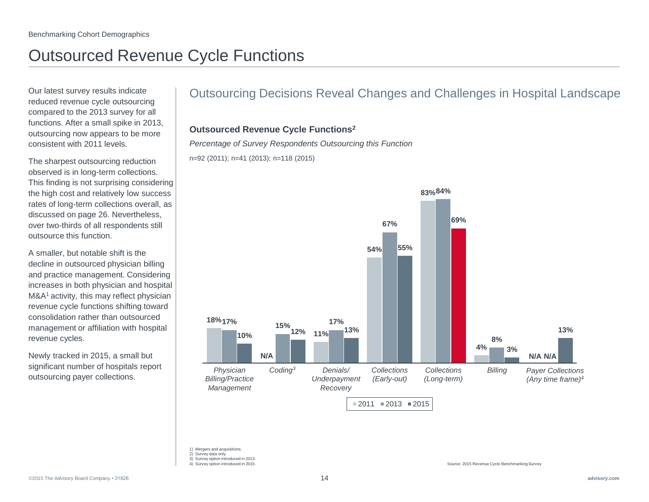## Outsourced Revenue Cycle Functions

Our latest survey results indicate reduced revenue cycle outsourcing compared to the 2013 survey for all functions. After a small spike in 2013, outsourcing now appears to be more consistent with 2011 levels.

The sharpest outsourcing reduction observed is in long-term collections. This finding is not surprising considering the high cost and relatively low success rates of long-term collections overall, as discussed on page 26. Nevertheless, over two-thirds of all respondents still outsource this function.

A smaller, but notable shift is the decline in outsourced physician billing and practice management. Considering increases in both physician and hospital M&A<sup>1</sup> activity, this may reflect physician revenue cycle functions shifting toward consolidation rather than outsourced management or affiliation with hospital revenue cycles.

Newly tracked in 2015, a small but significant number of hospitals report outsourcing payer collections.

### Outsourcing Decisions Reveal Changes and Challenges in Hospital Landscape

#### **Outsourced Revenue Cycle Functions<sup>2</sup>**

*Percentage of Survey Respondents Outsourcing this Function*

n=92 (2011); n=41 (2013); n=118 (2015)



1) Mergers and acquisitions.

4) Survey option introduced in 2015.

<sup>2)</sup> Survey data only. 3) Survey option introduced in 2013.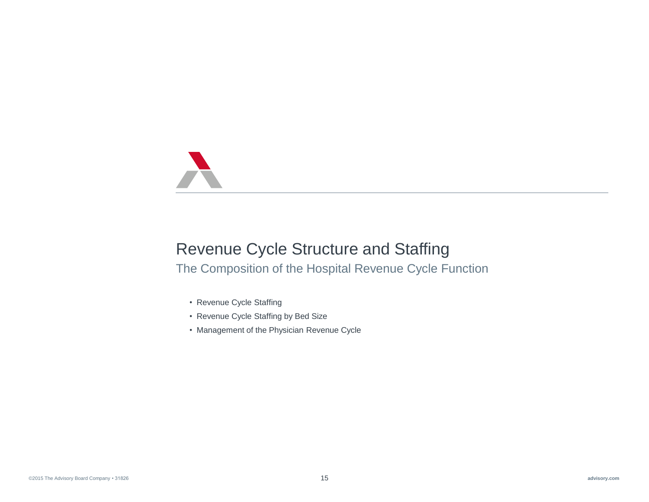

### Revenue Cycle Structure and Staffing

The Composition of the Hospital Revenue Cycle Function

- Revenue Cycle Staffing
- Revenue Cycle Staffing by Bed Size
- Management of the Physician Revenue Cycle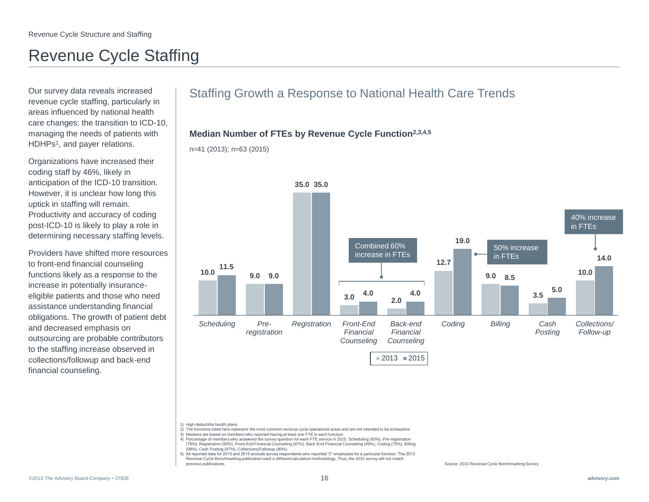## Revenue Cycle Staffing

Our survey data reveals increased revenue cycle staffing, particularly in areas influenced by national health care changes: the transition to ICD-10, managing the needs of patients with HDHPs<sup>1</sup>, and payer relations.

Organizations have increased their coding staff by 46%, likely in anticipation of the ICD-10 transition. However, it is unclear how long this uptick in staffing will remain. Productivity and accuracy of coding post-ICD-10 is likely to play a role in determining necessary staffing levels.

Providers have shifted more resources to front-end financial counseling functions likely as a response to the increase in potentially insuranceeligible patients and those who need assistance understanding financial obligations. The growth of patient debt and decreased emphasis on outsourcing are probable contributors to the staffing increase observed in collections/followup and back-end financial counseling.

### Staffing Growth a Response to National Health Care Trends

#### **Median Number of FTEs by Revenue Cycle Function2,3,4,5**

n=41 (2013); n=63 (2015)



1) High deductible health plans.

- 2) The functions listed here represent the most common revenue cycle operational areas and are not intended to be exhaustive.
- 3) Medians are based on members who reported having at least one FTE in each function.
- 4) Percentage of members who answered the survey question for each FTE service in 2015: Scheduling (60%), Pre-registration (78%), Registration (90%), Front-End Financial Counseling (87%), Back-End Financial Counseling (49%), Coding (79%), Billing (98%), Cash Posting (97%), Collections/Followup (90%).

5) All reported data for 2013 and 2015 exclude survey respondents who reported "0" employees for a particular function. The 2013 Revenue Cycle Benchmarking publication used a different calculation methodology. Thus, the 2015 survey will not match previous publications.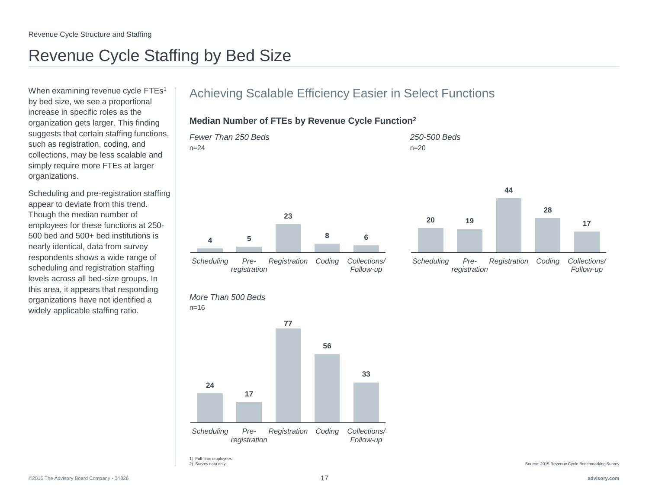## Revenue Cycle Staffing by Bed Size

When examining revenue cycle FTEs<sup>1</sup> by bed size, we see a proportional increase in specific roles as the organization gets larger. This finding suggests that certain staffing functions, such as registration, coding, and collections, may be less scalable and simply require more FTEs at larger organizations.

Scheduling and pre-registration staffing appear to deviate from this trend. Though the median number of employees for these functions at 250- 500 bed and 500+ bed institutions is nearly identical, data from survey respondents shows a wide range of scheduling and registration staffing levels across all bed-size groups. In this area, it appears that responding organizations have not identified a widely applicable staffing ratio.

### Achieving Scalable Efficiency Easier in Select Functions

#### **Median Number of FTEs by Revenue Cycle Function<sup>2</sup>**







 $n=16$ 

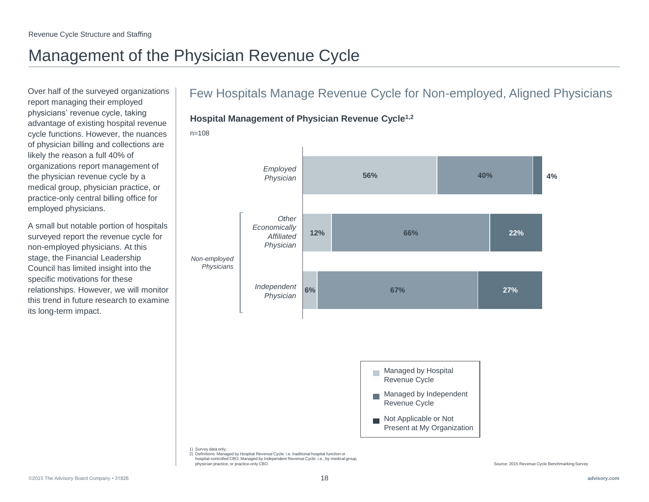## Management of the Physician Revenue Cycle

Over half of the surveyed organizations report managing their employed physicians' revenue cycle, taking advantage of existing hospital revenue cycle functions. However, the nuances of physician billing and collections are likely the reason a full 40% of organizations report management of the physician revenue cycle by a medical group, physician practice, or practice-only central billing office for employed physicians.

A small but notable portion of hospitals surveyed report the revenue cycle for non-employed physicians. At this stage, the Financial Leadership Council has limited insight into the specific motivations for these relationships. However, we will monitor this trend in future research to examine its long-term impact.

### Few Hospitals Manage Revenue Cycle for Non-employed, Aligned Physicians





n=108

1) Survey data only.

2) Definitions: Managed by Hospital Revenue Cycle: i.e. traditional hospital function or hospital-controlled CBO; Managed by Independent Revenue Cycle: i.e., by medical group, physician practice, or practice-only CBO.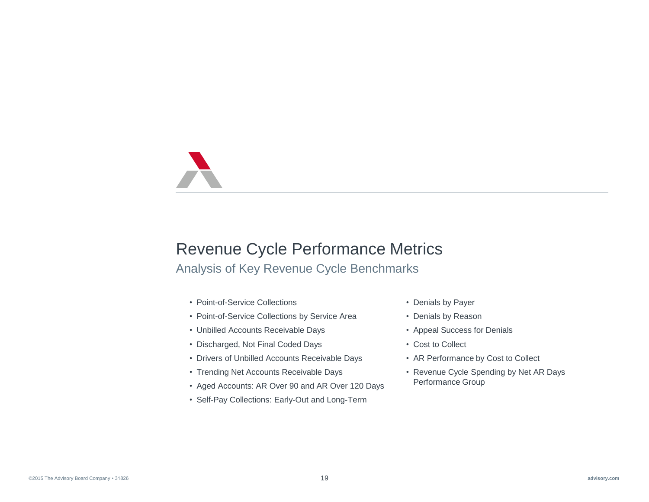## Revenue Cycle Performance Metrics

### Analysis of Key Revenue Cycle Benchmarks

- Point-of-Service Collections
- Point-of-Service Collections by Service Area
- Unbilled Accounts Receivable Days
- Discharged, Not Final Coded Days
- Drivers of Unbilled Accounts Receivable Days
- Trending Net Accounts Receivable Days
- Aged Accounts: AR Over 90 and AR Over 120 Days
- Self-Pay Collections: Early-Out and Long-Term
- Denials by Payer
- Denials by Reason
- Appeal Success for Denials
- Cost to Collect
- AR Performance by Cost to Collect
- Revenue Cycle Spending by Net AR Days Performance Group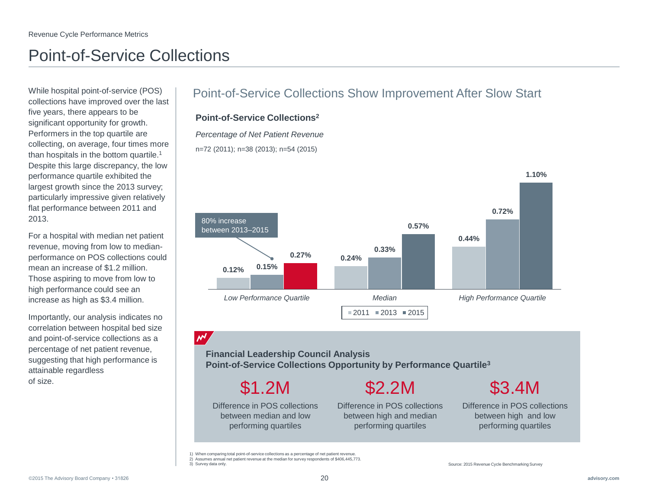## Point-of-Service Collections

While hospital point-of-service (POS) collections have improved over the last five years, there appears to be significant opportunity for growth. Performers in the top quartile are collecting, on average, four times more than hospitals in the bottom quartile.<sup>1</sup> Despite this large discrepancy, the low performance quartile exhibited the largest growth since the 2013 survey; particularly impressive given relatively flat performance between 2011 and 2013.

For a hospital with median net patient revenue, moving from low to medianperformance on POS collections could mean an increase of \$1.2 million. Those aspiring to move from low to high performance could see an increase as high as \$3.4 million.

Importantly, our analysis indicates no correlation between hospital bed size and point-of-service collections as a percentage of net patient revenue, suggesting that high performance is attainable regardless of size.

### Point-of-Service Collections Show Improvement After Slow Start

#### **Point-of-Service Collections<sup>2</sup>**

*Percentage of Net Patient Revenue*

n=72 (2011); n=38 (2013); n=54 (2015)



### $\mathcal{M}'$

**Financial Leadership Council Analysis Point-of-Service Collections Opportunity by Performance Quartile<sup>3</sup>**

Difference in POS collections between median and low \$1.2M

performing quartiles

\$2.2M

Difference in POS collections between high and median performing quartiles

# \$3.4M

Difference in POS collections between high and low performing quartiles

<sup>1)</sup> When comparing total point-of-service collections as a percentage of net patient revenue.

<sup>2)</sup> Assumes annual net patient revenue at the median for survey respondents of \$406,445,773.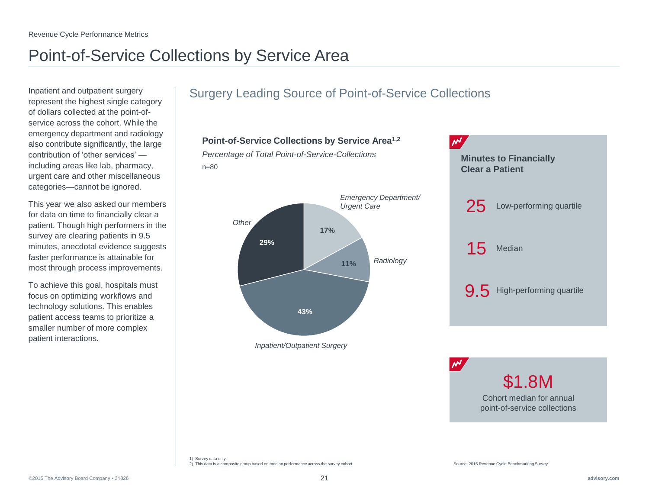# Point-of-Service Collections by Service Area

Inpatient and outpatient surgery represent the highest single category of dollars collected at the point-ofservice across the cohort. While the emergency department and radiology also contribute significantly, the large contribution of 'other services' including areas like lab, pharmacy, urgent care and other miscellaneous categories—cannot be ignored.

This year we also asked our members for data on time to financially clear a patient. Though high performers in the survey are clearing patients in 9.5 minutes, anecdotal evidence suggests faster performance is attainable for most through process improvements.

To achieve this goal, hospitals must focus on optimizing workflows and technology solutions. This enables patient access teams to prioritize a smaller number of more complex patient interactions.

### Surgery Leading Source of Point-of-Service Collections

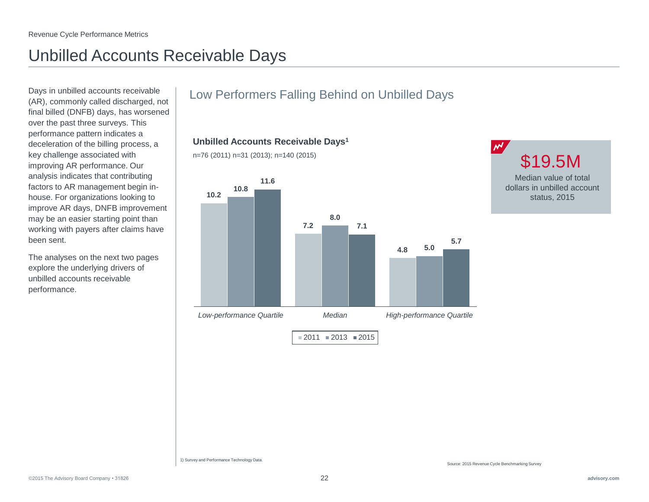## Unbilled Accounts Receivable Days

Days in unbilled accounts receivable (AR), commonly called discharged, not final billed (DNFB) days, has worsened over the past three surveys. This performance pattern indicates a deceleration of the billing process, a key challenge associated with improving AR performance. Our analysis indicates that contributing factors to AR management begin inhouse. For organizations looking to improve AR days, DNFB improvement may be an easier starting point than working with payers after claims have been sent.

The analyses on the next two pages explore the underlying drivers of unbilled accounts receivable performance.

### Low Performers Falling Behind on Unbilled Days

**Unbilled Accounts Receivable Days<sup>1</sup>**

n=76 (2011) n=31 (2013); n=140 (2015)





1) Survey and Performance Technology Data.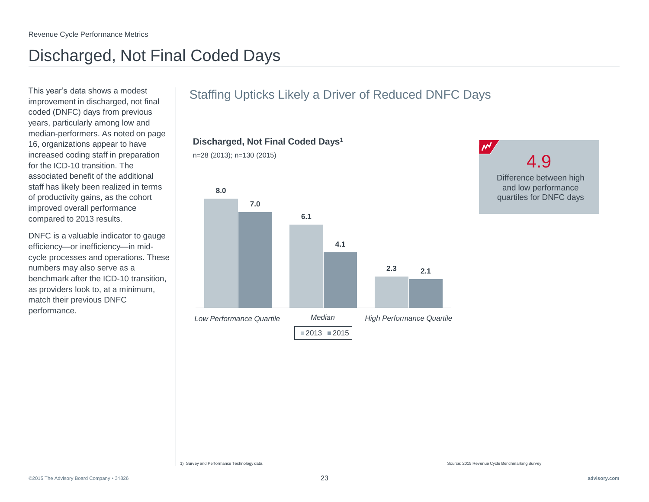## Discharged, Not Final Coded Days

This year's data shows a modest improvement in discharged, not final coded (DNFC) days from previous years, particularly among low and median-performers. As noted on page 16, organizations appear to have increased coding staff in preparation for the ICD-10 transition. The associated benefit of the additional staff has likely been realized in terms of productivity gains, as the cohort improved overall performance compared to 2013 results.

DNFC is a valuable indicator to gauge efficiency—or inefficiency—in midcycle processes and operations. These numbers may also serve as a benchmark after the ICD-10 transition, as providers look to, at a minimum, match their previous DNFC performance.

### Staffing Upticks Likely a Driver of Reduced DNFC Days

**Discharged, Not Final Coded Days<sup>1</sup>**





1) Survey and Performance Technology data.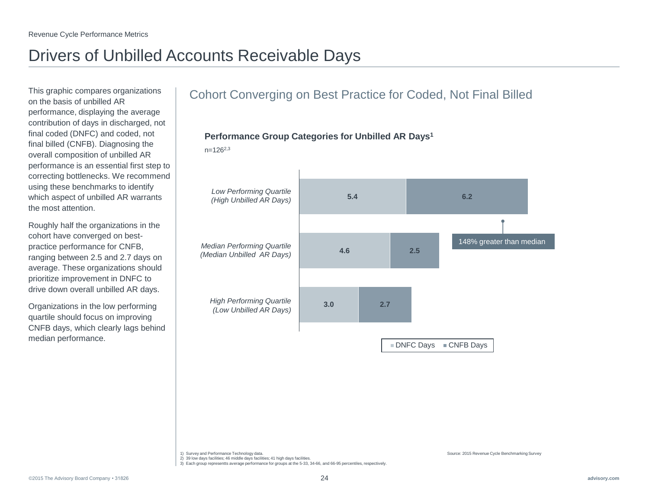## Drivers of Unbilled Accounts Receivable Days

This graphic compares organizations on the basis of unbilled AR performance, displaying the average contribution of days in discharged, not final coded (DNFC) and coded, not final billed (CNFB). Diagnosing the overall composition of unbilled AR performance is an essential first step to correcting bottlenecks. We recommend using these benchmarks to identify which aspect of unbilled AR warrants the most attention.

Roughly half the organizations in the cohort have converged on bestpractice performance for CNFB, ranging between 2.5 and 2.7 days on average. These organizations should prioritize improvement in DNFC to drive down overall unbilled AR days.

Organizations in the low performing quartile should focus on improving CNFB days, which clearly lags behind median performance.

### Cohort Converging on Best Practice for Coded, Not Final Billed



 $n=126^{2,3}$ 



1) Survey and Performance Technology data.

2) 39 low days facilities; 46 middle days facilities; 41 high days facilities.

3) Each group representts average performance for groups at the 5-33, 34-66, and 66-95 percentiles, respectively.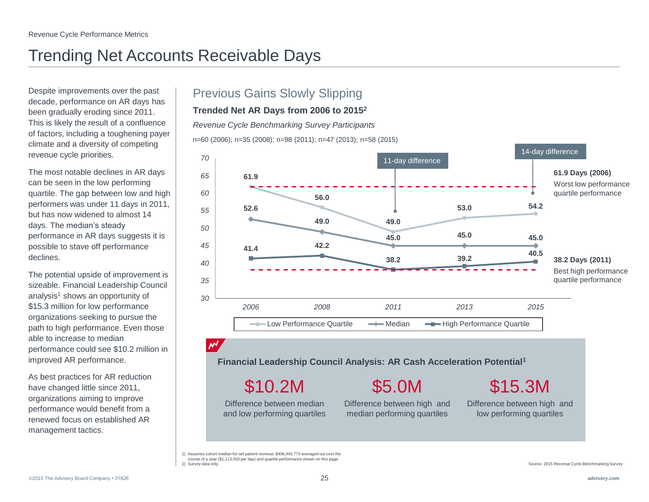## Trending Net Accounts Receivable Days

Despite improvements over the past decade, performance on AR days has been gradually eroding since 2011. This is likely the result of a confluence of factors, including a toughening payer climate and a diversity of competing revenue cycle priorities.

The most notable declines in AR days can be seen in the low performing quartile. The gap between low and high performers was under 11 days in 2011, but has now widened to almost 14 days. The median's steady performance in AR days suggests it is possible to stave off performance declines.

The potential upside of improvement is sizeable. Financial Leadership Council analysis<sup>1</sup> shows an opportunity of \$15.3 million for low performance organizations seeking to pursue the path to high performance. Even those able to increase to median performance could see \$10.2 million in improved AR performance.

As best practices for AR reduction have changed little since 2011, organizations aiming to improve performance would benefit from a renewed focus on established AR management tactics.

### Previous Gains Slowly Slipping

#### **Trended Net AR Days from 2006 to 2015<sup>2</sup>**

*Revenue Cycle Benchmarking Survey Participants*

n=60 (2006); n=35 (2008); n=98 (2011); n=47 (2013); n=58 (2015)



### $\mathcal{M}'$

**Financial Leadership Council Analysis: AR Cash Acceleration Potential<sup>1</sup>**

\$10.2M

Difference between median and low performing quartiles \$5.0M

Difference between high and median performing quartiles

\$15.3M

Difference between high and low performing quartiles

1) Assumes cohort median for net patient revenue, \$406,445,773 averaged out over the course of a year (\$1,113,550 per day) and quartile performance shown on this page. 2) Survey data only.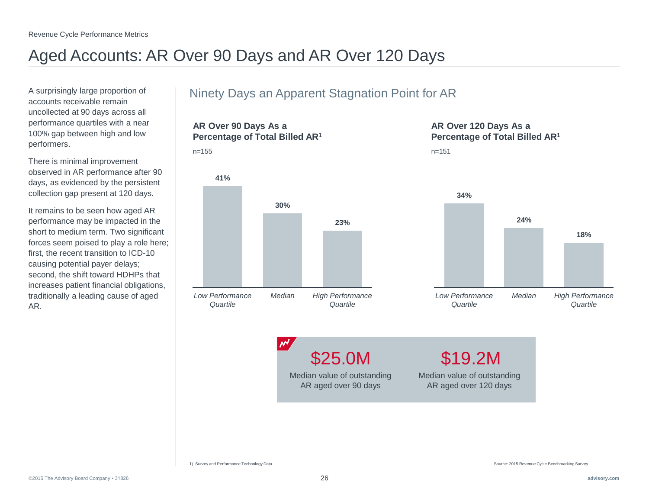## Aged Accounts: AR Over 90 Days and AR Over 120 Days

n=155

A surprisingly large proportion of accounts receivable remain uncollected at 90 days across all performance quartiles with a near 100% gap between high and low performers.

There is minimal improvement observed in AR performance after 90 days, as evidenced by the persistent collection gap present at 120 days.

It remains to be seen how aged AR performance may be impacted in the short to medium term. Two significant forces seem poised to play a role here; first, the recent transition to ICD-10 causing potential payer delays; second, the shift toward HDHPs that increases patient financial obligations, traditionally a leading cause of aged AR.

### Ninety Days an Apparent Stagnation Point for AR

**AR Over 90 Days As a Percentage of Total Billed AR<sup>1</sup>**



 $M$ 

### **AR Over 120 Days As a Percentage of Total Billed AR<sup>1</sup>**

n=151



\$25.0M

Median value of outstanding AR aged over 90 days

Median value of outstanding AR aged over 120 days \$19.2M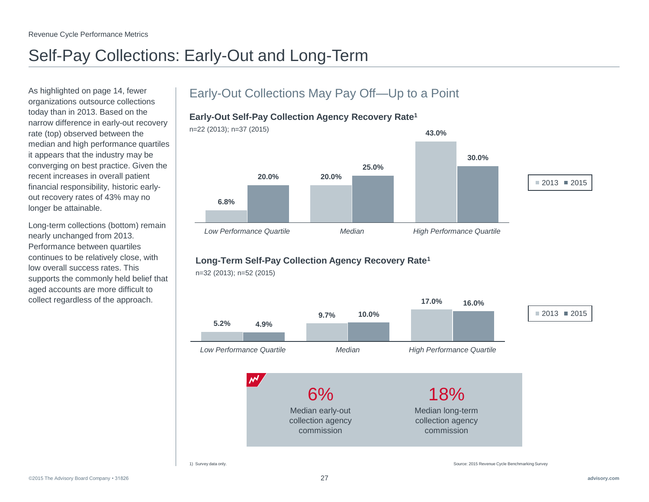## Self-Pay Collections: Early-Out and Long-Term

As highlighted on page 14, fewer organizations outsource collections today than in 2013. Based on the narrow difference in early-out recovery rate (top) observed between the median and high performance quartiles it appears that the industry may be converging on best practice. Given the recent increases in overall patient financial responsibility, historic earlyout recovery rates of 43% may no longer be attainable.

Long-term collections (bottom) remain nearly unchanged from 2013. Performance between quartiles continues to be relatively close, with low overall success rates. This supports the commonly held belief that aged accounts are more difficult to collect regardless of the approach.

### Early-Out Collections May Pay Off—Up to a Point

### **Early-Out Self-Pay Collection Agency Recovery Rate<sup>1</sup>**



### **Long-Term Self-Pay Collection Agency Recovery Rate<sup>1</sup>**



n=32 (2013); n=52 (2015)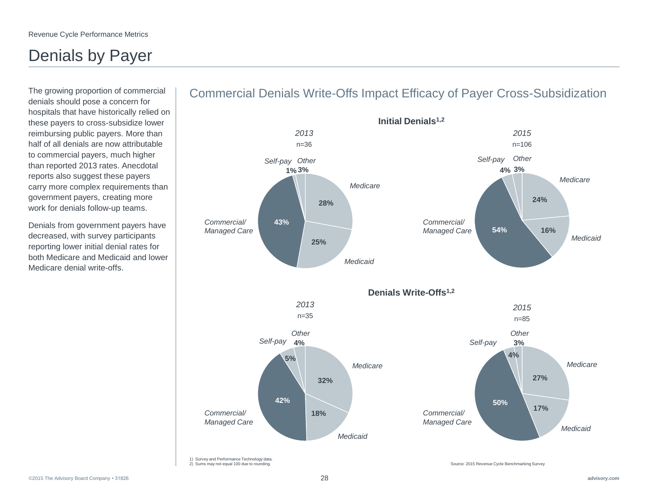## Denials by Payer

The growing proportion of commercial denials should pose a concern for hospitals that have historically relied on these payers to cross-subsidize lower reimbursing public payers. More than half of all denials are now attributable to commercial payers, much higher than reported 2013 rates. Anecdotal reports also suggest these payers carry more complex requirements than government payers, creating more work for denials follow-up teams.

Denials from government payers have decreased, with survey participants reporting lower initial denial rates for both Medicare and Medicaid and lower Medicare denial write-offs.



### Commercial Denials Write-Offs Impact Efficacy of Payer Cross-Subsidization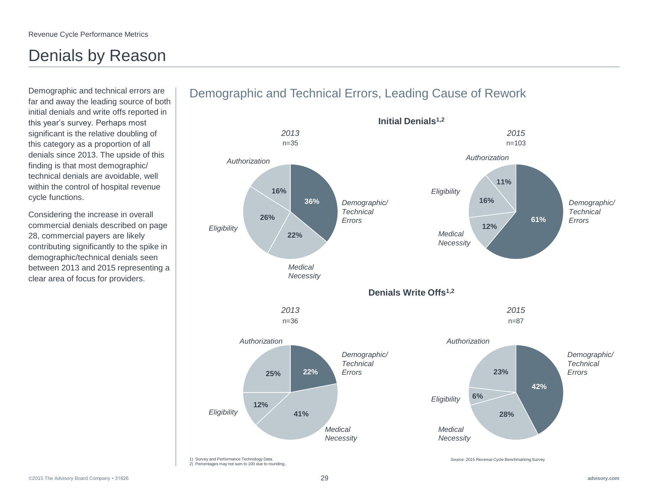## Denials by Reason

Demographic and technical errors are far and away the leading source of both initial denials and write offs reported in this year's survey. Perhaps most significant is the relative doubling of this category as a proportion of all denials since 2013. The upside of this finding is that most demographic/ technical denials are avoidable, well within the control of hospital revenue cycle functions.

Considering the increase in overall commercial denials described on page 28, commercial payers are likely contributing significantly to the spike in demographic/technical denials seen between 2013 and 2015 representing a clear area of focus for providers.

#### **36% 22% 26% 16% 61% 12% 16% 11% 42% 28% 6% 22% 23% 41% 12% 25%** 1) Survey and Performance Technology Data. 2) Percentages may not sum to 100 due to rounding.. Source: 2015 Revenue Cycle Benchmarking Survey n=35 *2013 2013* n=36 *2015 Medical Necessity Eligibility Authorization Demographic/ Technical Errors* n=87 *Authorization Demographic/ Technical Errors Eligibility Medical Necessity 2015* n=103 *Authorization Demographic/ Technical Errors Eligibility Medical Necessity Medical Necessity Eligibility Authorization Demographic/ Technical Errors* **Denials Write Offs1,2**

**Initial Denials1,2**

### Demographic and Technical Errors, Leading Cause of Rework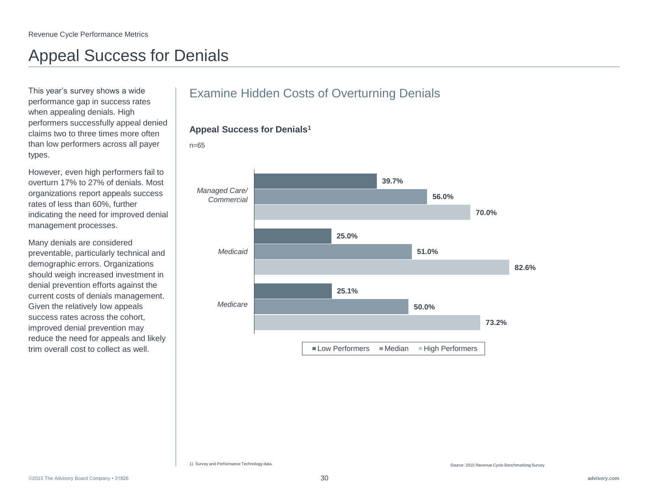## Appeal Success for Denials

This year's survey shows a wide performance gap in success rates when appealing denials. High performers successfully appeal denied claims two to three times more often than low performers across all payer types.

However, even high performers fail to overturn 17% to 27% of denials. Most organizations report appeals success rates of less than 60%, further indicating the need for improved denial management processes.

Many denials are considered preventable, particularly technical and demographic errors. Organizations should weigh increased investment in denial prevention efforts against the current costs of denials management. Given the relatively low appeals success rates across the cohort, improved denial prevention may reduce the need for appeals and likely trim overall cost to collect as well.

### Examine Hidden Costs of Overturning Denials



#### **Appeal Success for Denials<sup>1</sup>**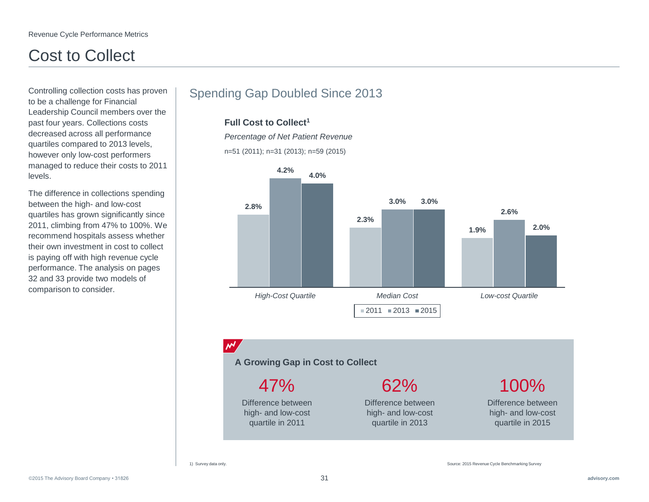## Cost to Collect

Controlling collection costs has proven to be a challenge for Financial Leadership Council members over the past four years. Collections costs decreased across all performance quartiles compared to 2013 levels, however only low-cost performers managed to reduce their costs to 2011 levels.

The difference in collections spending between the high- and low-cost quartiles has grown significantly since 2011, climbing from 47% to 100%. We recommend hospitals assess whether their own investment in cost to collect is paying off with high revenue cycle performance. The analysis on pages 32 and 33 provide two models of comparison to consider.

### Spending Gap Doubled Since 2013

#### **Full Cost to Collect<sup>1</sup>**

*Percentage of Net Patient Revenue*

n=51 (2011); n=31 (2013); n=59 (2015)



### $\mathcal{M}'$

**A Growing Gap in Cost to Collect**

Difference between 47%

high- and low-cost quartile in 2011

62%

Difference between high- and low-cost quartile in 2013

Difference between 100%

high- and low-cost quartile in 2015

#### 1) Survey data only.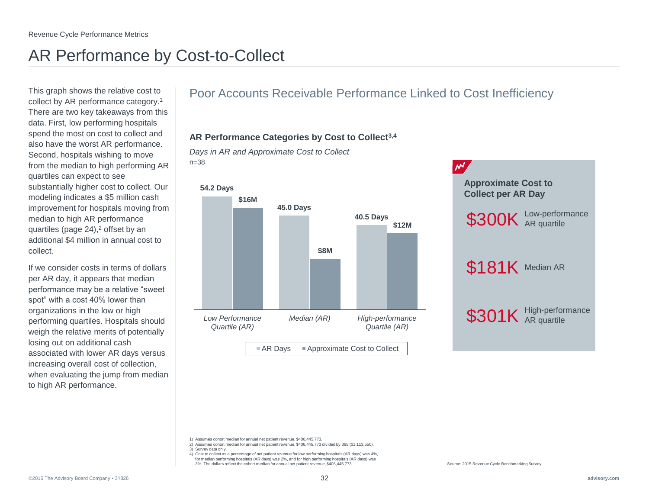## AR Performance by Cost-to-Collect

This graph shows the relative cost to collect by AR performance category.<sup>1</sup> There are two key takeaways from this data. First, low performing hospitals spend the most on cost to collect and also have the worst AR performance. Second, hospitals wishing to move from the median to high performing AR quartiles can expect to see substantially higher cost to collect. Our modeling indicates a \$5 million cash improvement for hospitals moving from median to high AR performance quartiles (page 24),<sup>2</sup> offset by an additional \$4 million in annual cost to collect.

If we consider costs in terms of dollars per AR day, it appears that median performance may be a relative "sweet spot" with a cost 40% lower than organizations in the low or high performing quartiles. Hospitals should weigh the relative merits of potentially losing out on additional cash associated with lower AR days versus increasing overall cost of collection, when evaluating the jump from median to high AR performance.

### Poor Accounts Receivable Performance Linked to Cost Inefficiency

### **AR Performance Categories by Cost to Collect3,4**

*Days in AR and Approximate Cost to Collect* n=38



 $A$ R Days  $A$ pproximate Cost to Collect



- 2) Assumes cohort median for annual net patient revenue, \$406,445,773 divided by 365 (\$1,113,550).
- 3) Survey data only.
- 4) Cost to collect as a percentage of net patient revenue for low performing hospitals (AR days) was 4%, for median performing hospitals (AR days) was 2%, and for high performing hospitals (AR days) was 3%. The dollars reflect the cohort median for annual net patient revenue, \$406,445,773. Source: 2015 Revenue Cycle Benchmarking Survey

<sup>1)</sup> Assumes cohort median for annual net patient revenue, \$406,445,773.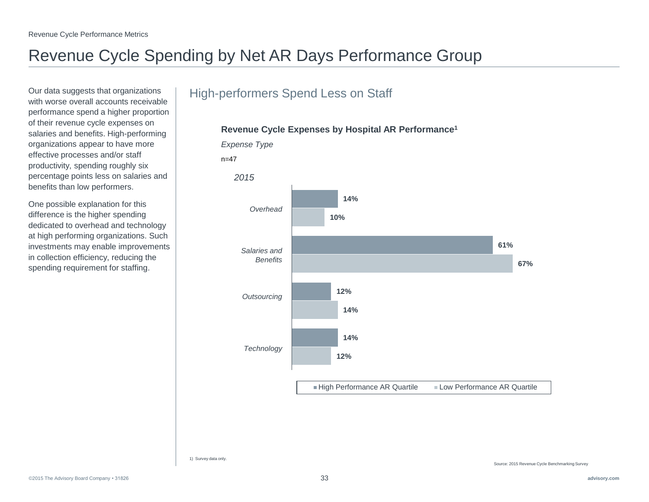## Revenue Cycle Spending by Net AR Days Performance Group

Our data suggests that organizations with worse overall accounts receivable performance spend a higher proportion of their revenue cycle expenses on salaries and benefits. High-performing organizations appear to have more effective processes and/or staff productivity, spending roughly six percentage points less on salaries and benefits than low performers.

One possible explanation for this difference is the higher spending dedicated to overhead and technology at high performing organizations. Such investments may enable improvements in collection efficiency, reducing the spending requirement for staffing.

### High-performers Spend Less on Staff



### **Revenue Cycle Expenses by Hospital AR Performance<sup>1</sup>**

1) Survey data only.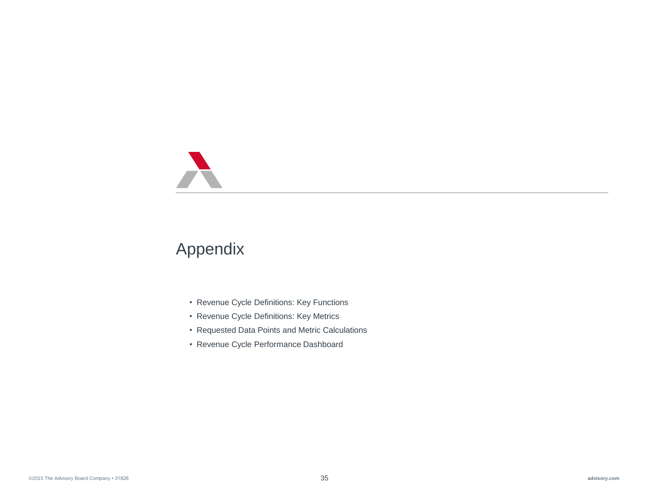## Appendix

- Revenue Cycle Definitions: Key Functions
- Revenue Cycle Definitions: Key Metrics
- Requested Data Points and Metric Calculations
- Revenue Cycle Performance Dashboard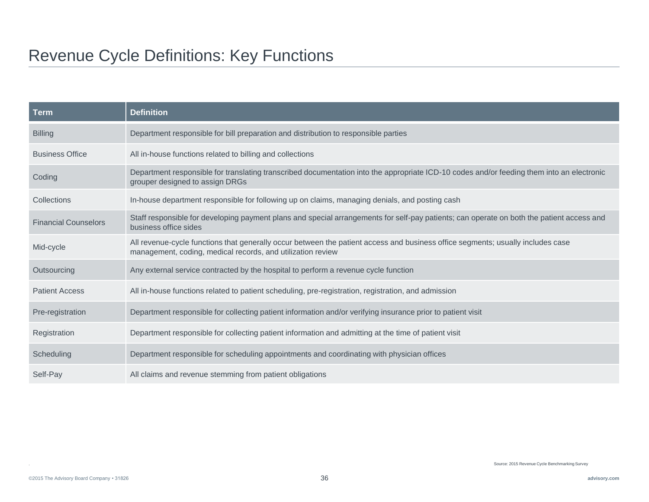## Revenue Cycle Definitions: Key Functions

| <b>Term</b>                 | <b>Definition</b>                                                                                                                                                                              |
|-----------------------------|------------------------------------------------------------------------------------------------------------------------------------------------------------------------------------------------|
| <b>Billing</b>              | Department responsible for bill preparation and distribution to responsible parties                                                                                                            |
| <b>Business Office</b>      | All in-house functions related to billing and collections                                                                                                                                      |
| Coding                      | Department responsible for translating transcribed documentation into the appropriate ICD-10 codes and/or feeding them into an electronic<br>grouper designed to assign DRGs                   |
| Collections                 | In-house department responsible for following up on claims, managing denials, and posting cash                                                                                                 |
| <b>Financial Counselors</b> | Staff responsible for developing payment plans and special arrangements for self-pay patients; can operate on both the patient access and<br>business office sides                             |
| Mid-cycle                   | All revenue-cycle functions that generally occur between the patient access and business office segments; usually includes case<br>management, coding, medical records, and utilization review |
| Outsourcing                 | Any external service contracted by the hospital to perform a revenue cycle function                                                                                                            |
| <b>Patient Access</b>       | All in-house functions related to patient scheduling, pre-registration, registration, and admission                                                                                            |
| Pre-registration            | Department responsible for collecting patient information and/or verifying insurance prior to patient visit                                                                                    |
| Registration                | Department responsible for collecting patient information and admitting at the time of patient visit                                                                                           |
| Scheduling                  | Department responsible for scheduling appointments and coordinating with physician offices                                                                                                     |
| Self-Pay                    | All claims and revenue stemming from patient obligations                                                                                                                                       |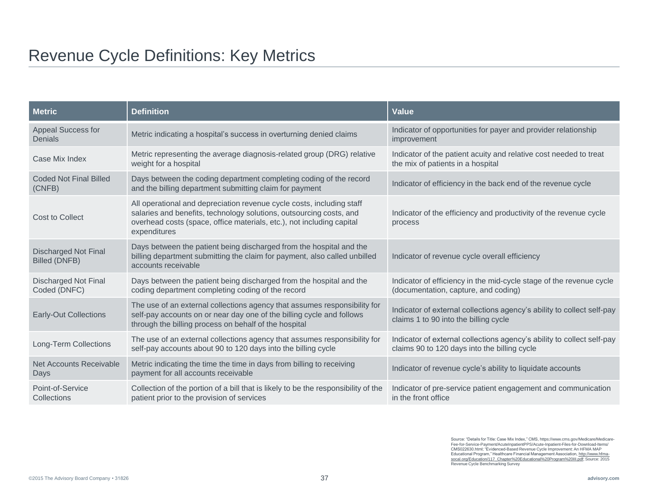## Revenue Cycle Definitions: Key Metrics

| <b>Metric</b>                                       | <b>Definition</b>                                                                                                                                                                                                                     | <b>Value</b>                                                                                                           |
|-----------------------------------------------------|---------------------------------------------------------------------------------------------------------------------------------------------------------------------------------------------------------------------------------------|------------------------------------------------------------------------------------------------------------------------|
| <b>Appeal Success for</b><br>Denials                | Metric indicating a hospital's success in overturning denied claims                                                                                                                                                                   | Indicator of opportunities for payer and provider relationship<br>improvement                                          |
| Case Mix Index                                      | Metric representing the average diagnosis-related group (DRG) relative<br>weight for a hospital                                                                                                                                       | Indicator of the patient acuity and relative cost needed to treat<br>the mix of patients in a hospital                 |
| <b>Coded Not Final Billed</b><br>(CNFB)             | Days between the coding department completing coding of the record<br>and the billing department submitting claim for payment                                                                                                         | Indicator of efficiency in the back end of the revenue cycle                                                           |
| <b>Cost to Collect</b>                              | All operational and depreciation revenue cycle costs, including staff<br>salaries and benefits, technology solutions, outsourcing costs, and<br>overhead costs (space, office materials, etc.), not including capital<br>expenditures | Indicator of the efficiency and productivity of the revenue cycle<br>process                                           |
| <b>Discharged Not Final</b><br><b>Billed (DNFB)</b> | Days between the patient being discharged from the hospital and the<br>billing department submitting the claim for payment, also called unbilled<br>accounts receivable                                                               | Indicator of revenue cycle overall efficiency                                                                          |
| <b>Discharged Not Final</b><br>Coded (DNFC)         | Days between the patient being discharged from the hospital and the<br>coding department completing coding of the record                                                                                                              | Indicator of efficiency in the mid-cycle stage of the revenue cycle<br>(documentation, capture, and coding)            |
| <b>Early-Out Collections</b>                        | The use of an external collections agency that assumes responsibility for<br>self-pay accounts on or near day one of the billing cycle and follows<br>through the billing process on behalf of the hospital                           | Indicator of external collections agency's ability to collect self-pay<br>claims 1 to 90 into the billing cycle        |
| Long-Term Collections                               | The use of an external collections agency that assumes responsibility for<br>self-pay accounts about 90 to 120 days into the billing cycle                                                                                            | Indicator of external collections agency's ability to collect self-pay<br>claims 90 to 120 days into the billing cycle |
| <b>Net Accounts Receivable</b><br>Days              | Metric indicating the time the time in days from billing to receiving<br>payment for all accounts receivable                                                                                                                          | Indicator of revenue cycle's ability to liquidate accounts                                                             |
| Point-of-Service<br>Collections                     | Collection of the portion of a bill that is likely to be the responsibility of the<br>patient prior to the provision of services                                                                                                      | Indicator of pre-service patient engagement and communication<br>in the front office                                   |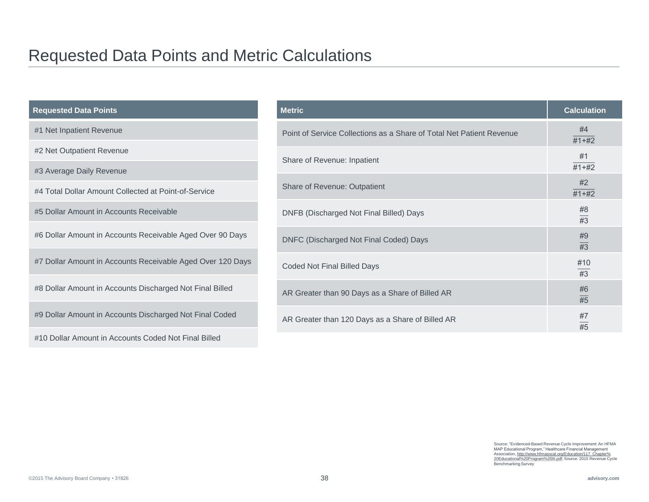## Requested Data Points and Metric Calculations

| <b>Requested Data Points</b>                               | <b>Metric</b>                                                        | <b>Calculation</b>     |
|------------------------------------------------------------|----------------------------------------------------------------------|------------------------|
| #1 Net Inpatient Revenue                                   | Point of Service Collections as a Share of Total Net Patient Revenue | #4<br>$#1+#2$          |
| #2 Net Outpatient Revenue                                  | Share of Revenue: Inpatient                                          | #1                     |
| #3 Average Daily Revenue                                   |                                                                      | $\frac{1}{11+12}$      |
| #4 Total Dollar Amount Collected at Point-of-Service       | Share of Revenue: Outpatient                                         | #2<br>$\overline{7+1}$ |
| #5 Dollar Amount in Accounts Receivable                    | DNFB (Discharged Not Final Billed) Days                              | #8<br>$\overline{43}$  |
| #6 Dollar Amount in Accounts Receivable Aged Over 90 Days  | DNFC (Discharged Not Final Coded) Days                               | #9<br>$\overline{43}$  |
| #7 Dollar Amount in Accounts Receivable Aged Over 120 Days | <b>Coded Not Final Billed Days</b>                                   | #10<br>#3              |
| #8 Dollar Amount in Accounts Discharged Not Final Billed   | AR Greater than 90 Days as a Share of Billed AR                      | #6<br>$\overline{45}$  |
| #9 Dollar Amount in Accounts Discharged Not Final Coded    | AR Greater than 120 Days as a Share of Billed AR                     | #7<br>$\overline{45}$  |
| #10 Dollar Amount in Accounts Coded Not Final Billed       |                                                                      |                        |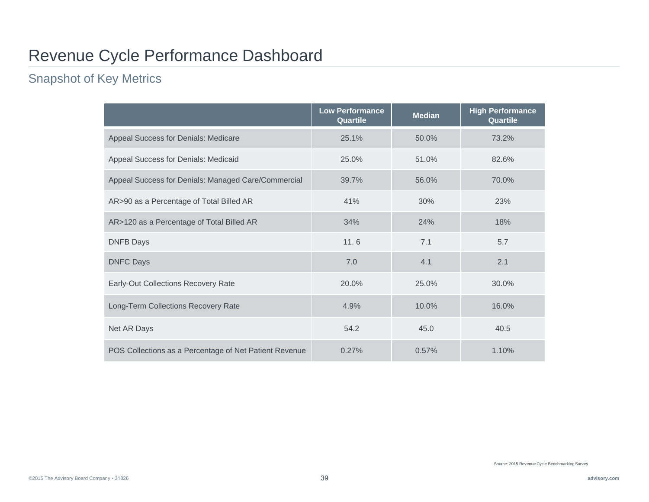## Revenue Cycle Performance Dashboard

### Snapshot of Key Metrics

|                                                        | <b>Low Performance</b><br>Quartile | <b>Median</b> | <b>High Performance</b><br>Quartile |
|--------------------------------------------------------|------------------------------------|---------------|-------------------------------------|
| Appeal Success for Denials: Medicare                   | 25.1%                              | 50.0%         | 73.2%                               |
| Appeal Success for Denials: Medicaid                   | 25.0%                              | 51.0%         | 82.6%                               |
| Appeal Success for Denials: Managed Care/Commercial    | 39.7%                              | 56.0%         | 70.0%                               |
| AR>90 as a Percentage of Total Billed AR               | 41%                                | 30%           | 23%                                 |
| AR>120 as a Percentage of Total Billed AR              | 34%                                | 24%           | 18%                                 |
| <b>DNFB Days</b>                                       | 11.6                               | 7.1           | 5.7                                 |
| <b>DNFC Days</b>                                       | 7.0                                | 4.1           | 2.1                                 |
| Early-Out Collections Recovery Rate                    | 20.0%                              | 25.0%         | 30.0%                               |
| Long-Term Collections Recovery Rate                    | 4.9%                               | 10.0%         | 16.0%                               |
| Net AR Days                                            | 54.2                               | 45.0          | 40.5                                |
| POS Collections as a Percentage of Net Patient Revenue | 0.27%                              | 0.57%         | 1.10%                               |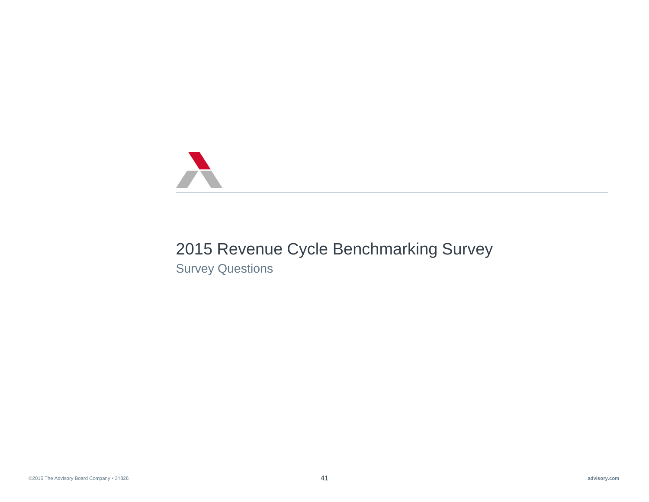

## 2015 Revenue Cycle Benchmarking Survey

Survey Questions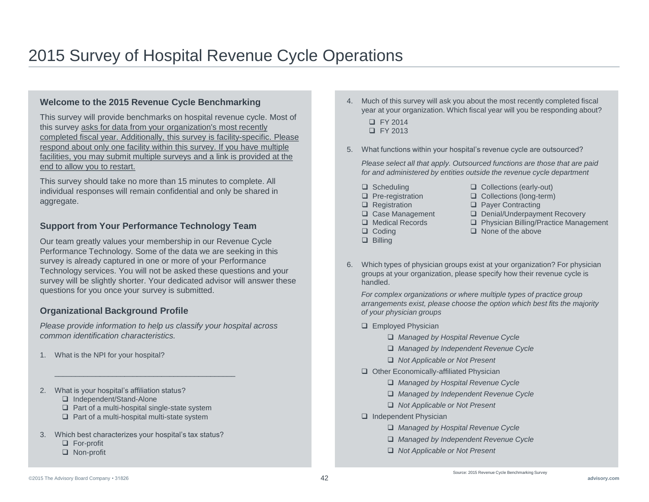#### **Welcome to the 2015 Revenue Cycle Benchmarking**

This survey will provide benchmarks on hospital revenue cycle. Most of this survey asks for data from your organization's most recently completed fiscal year. Additionally, this survey is facility-specific. Please respond about only one facility within this survey. If you have multiple facilities, you may submit multiple surveys and a link is provided at the end to allow you to restart.

This survey should take no more than 15 minutes to complete. All individual responses will remain confidential and only be shared in aggregate.

#### **Support from Your Performance Technology Team**

Our team greatly values your membership in our Revenue Cycle Performance Technology. Some of the data we are seeking in this survey is already captured in one or more of your Performance Technology services. You will not be asked these questions and your survey will be slightly shorter. Your dedicated advisor will answer these questions for you once your survey is submitted.

#### **Organizational Background Profile**

*Please provide information to help us classify your hospital across common identification characteristics.*

- 1. What is the NPI for your hospital?
- 2. What is your hospital's affiliation status?
	- □ Independent/Stand-Alone
	- $\Box$  Part of a multi-hospital single-state system

\_\_\_\_\_\_\_\_\_\_\_\_\_\_\_\_\_\_\_\_\_\_\_\_\_\_\_\_\_\_\_\_\_\_\_\_\_\_\_\_\_\_\_\_

- $\Box$  Part of a multi-hospital multi-state system
- 3. Which best characterizes your hospital's tax status?
	- □ For-profit
	- □ Non-profit
- 4. Much of this survey will ask you about the most recently completed fiscal year at your organization. Which fiscal year will you be responding about?
	- FY 2014 FY 2013
- 5. What functions within your hospital's revenue cycle are outsourced?

*Please select all that apply. Outsourced functions are those that are paid for and administered by entities outside the revenue cycle department*

- $\Box$  Scheduling
- $\Box$  Pre-registration
- **Q** Registration
- □ Case Management
- □ Medical Records
- $\Box$  Coding
- **D** Billing
- Collections (early-out)
- Collections (long-term)
- □ Payer Contracting
- Denial/Underpayment Recovery
- □ Physician Billing/Practice Management
- $\Box$  None of the above
- 6. Which types of physician groups exist at your organization? For physician groups at your organization, please specify how their revenue cycle is handled.

*For complex organizations or where multiple types of practice group arrangements exist, please choose the option which best fits the majority of your physician groups*

- **Employed Physician** 
	- *Managed by Hospital Revenue Cycle*
	- *Managed by Independent Revenue Cycle*
	- *Not Applicable or Not Present*
- Other Economically-affiliated Physician
	- *Managed by Hospital Revenue Cycle*
	- *Managed by Independent Revenue Cycle*
	- *Not Applicable or Not Present*
- **Q** Independent Physician
	- *Managed by Hospital Revenue Cycle*
	- *Managed by Independent Revenue Cycle*

Source: 2015 Revenue Cycle Benchmarking Survey

*Not Applicable or Not Present*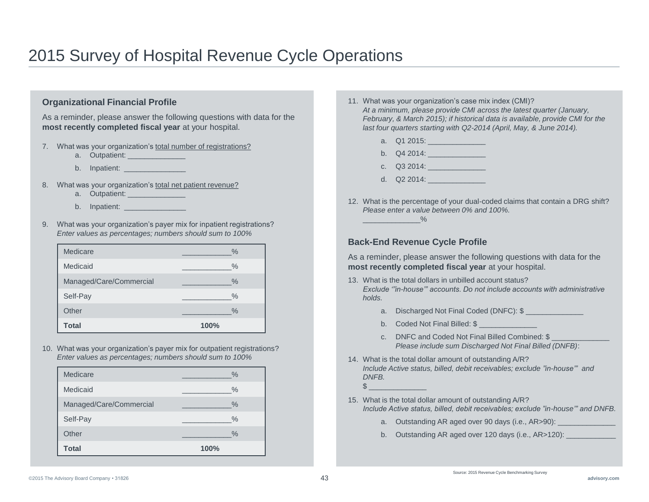#### **Organizational Financial Profile**

As a reminder, please answer the following questions with data for the **most recently completed fiscal year** at your hospital.

- 7. What was your organization's total number of registrations?
	- a. Outpatient:
	- b. Inpatient:
- 8. What was your organization's total net patient revenue?
	- a. Outpatient:
	- b. Inpatient: \_\_\_\_\_\_\_\_\_\_\_\_\_\_\_
- 9. What was your organization's payer mix for inpatient registrations? *Enter values as percentages; numbers should sum to 100%*

| Medicare                | $\frac{0}{0}$ |
|-------------------------|---------------|
| Medicaid                | $\%$          |
| Managed/Care/Commercial | $\%$          |
| Self-Pay                | $\%$          |
| Other                   | $\%$          |
| Total                   | 100%          |

10. What was your organization's payer mix for outpatient registrations? *Enter values as percentages; numbers should sum to 100%*

| Medicare                | $\frac{0}{0}$ |
|-------------------------|---------------|
| Medicaid                | $\%$          |
| Managed/Care/Commercial | $\%$          |
| Self-Pay                | $\%$          |
| Other                   | $\%$          |
| <b>Total</b>            | 100%          |

- 11. What was your organization's case mix index (CMI)? *At a minimum, please provide CMI across the latest quarter (January, February, & March 2015); if historical data is available, provide CMI for the last four quarters starting with Q2-2014 (April, May, & June 2014).*
	- a. Q1 2015: \_\_\_\_\_\_\_\_\_\_\_\_\_\_
	- b. Q4 2014:
	- c. Q3 2014: \_\_\_\_\_\_\_\_\_\_\_\_\_\_
	- d.  $Q2\,2014$
- 12. What is the percentage of your dual-coded claims that contain a DRG shift? *Please enter a value between 0% and 100%.*  $\sim$   $\sim$   $\sim$   $\sim$   $\sim$   $\sim$

#### **Back-End Revenue Cycle Profile**

As a reminder, please answer the following questions with data for the **most recently completed fiscal year** at your hospital.

- 13. What is the total dollars in unbilled account status? *Exclude '"in-house'" accounts. Do not include accounts with administrative holds.*
	- a. Discharged Not Final Coded (DNFC): \$
	- b. Coded Not Final Billed: \$
	- c. DNFC and Coded Not Final Billed Combined: \$ *Please include sum Discharged Not Final Billed (DNFB)*:
- 14. What is the total dollar amount of outstanding A/R? *Include Active status, billed, debit receivables; exclude "in-house'" and DNFB.*  $\frac{1}{2}$
- 15. What is the total dollar amount of outstanding A/R? *Include Active status, billed, debit receivables; exclude "in-house'" and DNFB.*
	- a. Outstanding AR aged over 90 days (i.e., AR>90):
	- b. Outstanding AR aged over 120 days (i.e., AR>120):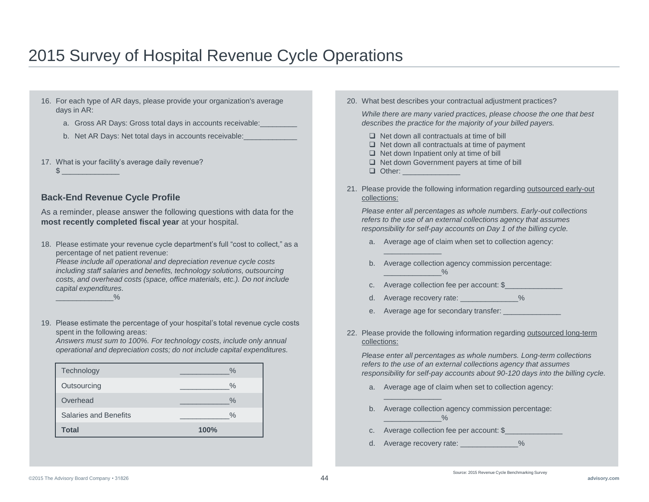- 16. For each type of AR days, please provide your organization's average days in AR:
	- a. Gross AR Days: Gross total days in accounts receivable:
	- b. Net AR Days: Net total days in accounts receivable:
- 17. What is your facility's average daily revenue?

#### **Back-End Revenue Cycle Profile**

 $\frac{1}{2}$   $\frac{1}{2}$   $\frac{1}{2}$   $\frac{1}{2}$   $\frac{1}{2}$   $\frac{1}{2}$   $\frac{1}{2}$   $\frac{1}{2}$   $\frac{1}{2}$   $\frac{1}{2}$   $\frac{1}{2}$   $\frac{1}{2}$   $\frac{1}{2}$   $\frac{1}{2}$   $\frac{1}{2}$   $\frac{1}{2}$   $\frac{1}{2}$   $\frac{1}{2}$   $\frac{1}{2}$   $\frac{1}{2}$   $\frac{1}{2}$   $\frac{1}{2}$ 

As a reminder, please answer the following questions with data for the **most recently completed fiscal year** at your hospital.

18. Please estimate your revenue cycle department's full "cost to collect," as a percentage of net patient revenue:

*Please include all operational and depreciation revenue cycle costs including staff salaries and benefits, technology solutions, outsourcing costs, and overhead costs (space, office materials, etc.). Do not include capital expenditures.*

- $\frac{0}{0}$
- 19. Please estimate the percentage of your hospital's total revenue cycle costs spent in the following areas:

*Answers must sum to 100%. For technology costs, include only annual operational and depreciation costs; do not include capital expenditures.*

| Technology            | $\frac{0}{6}$ |
|-----------------------|---------------|
| Outsourcing           | $\frac{0}{0}$ |
| Overhead              | $\%$          |
| Salaries and Benefits | $\frac{0}{0}$ |
| Total                 | 100%          |

20. What best describes your contractual adjustment practices?

*While there are many varied practices, please choose the one that best describes the practice for the majority of your billed payers.*

- $\Box$  Net down all contractuals at time of bill
- $\Box$  Net down all contractuals at time of payment
- $\Box$  Net down Inpatient only at time of bill
- $\Box$  Net down Government payers at time of bill
- $\Box$  Other:

\_\_\_\_\_\_\_\_\_\_\_\_\_\_

\_\_\_\_\_\_\_\_\_\_\_\_\_\_

21. Please provide the following information regarding outsourced early-out collections:

*Please enter all percentages as whole numbers. Early-out collections refers to the use of an external collections agency that assumes responsibility for self-pay accounts on Day 1 of the billing cycle.*

- a. Average age of claim when set to collection agency:
- b. Average collection agency commission percentage:  $\frac{0}{0}$
- c. Average collection fee per account: \$
- d. Average recovery rate: \_\_\_\_\_\_\_\_\_\_\_\_\_\_%
- e. Average age for secondary transfer:
- 22. Please provide the following information regarding outsourced long-term collections:

*Please enter all percentages as whole numbers. Long-term collections refers to the use of an external collections agency that assumes responsibility for self-pay accounts about 90-120 days into the billing cycle.*

- a. Average age of claim when set to collection agency:
- b. Average collection agency commission percentage:
- c. Average collection fee per account: \$
- d. Average recovery rate: \_\_\_\_\_\_\_\_\_\_\_\_\_\_%

 $\frac{9}{6}$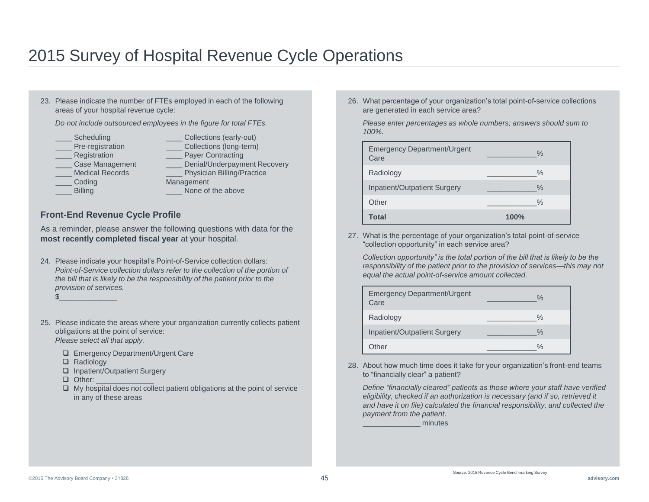23. Please indicate the number of FTEs employed in each of the following areas of your hospital revenue cycle: *Do not include outsourced employees in the figure for total FTEs.*

- Scheduling
- Pre-registration
- Registration
- \_\_\_\_ Case Management
- Medical Records
- \_\_\_\_ Coding
- \_\_\_\_ Billing
- Collections (early-out) Collections (long-term)
- Payer Contracting
- Denial/Underpayment Recovery Physician Billing/Practice
- **Management**
- None of the above

#### **Front-End Revenue Cycle Profile**

As a reminder, please answer the following questions with data for the **most recently completed fiscal year** at your hospital.

- 24. Please indicate your hospital's Point-of-Service collection dollars: *Point-of-Service collection dollars refer to the collection of the portion of the bill that is likely to be the responsibility of the patient prior to the provision of services.*
	- $\frac{1}{2}$
- 25. Please indicate the areas where your organization currently collects patient obligations at the point of service: *Please select all that apply.* 
	- □ Emergency Department/Urgent Care
	- □ Radiology
	- □ Inpatient/Outpatient Surgery
	- Other:
	- $\Box$  My hospital does not collect patient obligations at the point of service in any of these areas

26. What percentage of your organization's total point-of-service collections are generated in each service area?

*Please enter percentages as whole numbers; answers should sum to 100%.*

| <b>Emergency Department/Urgent</b><br>Care | $\%$          |
|--------------------------------------------|---------------|
| Radiology                                  | $\frac{0}{0}$ |
| Inpatient/Outpatient Surgery               | $\frac{0}{0}$ |
| Other                                      | $\frac{0}{0}$ |
| Total                                      | 100%          |

27. What is the percentage of your organization's total point-of-service "collection opportunity" in each service area?

*Collection opportunity" is the total portion of the bill that is likely to be the responsibility of the patient prior to the provision of services—this may not equal the actual point-of-service amount collected.*

| <b>Emergency Department/Urgent</b><br>Care | $\%$          |
|--------------------------------------------|---------------|
| Radiology                                  | $\%$          |
| Inpatient/Outpatient Surgery               | $\frac{0}{0}$ |
| Other                                      | $\frac{0}{0}$ |

28. About how much time does it take for your organization's front-end teams to "financially clear" a patient?

*Define "financially cleared" patients as those where your staff have verified eligibility, checked if an authorization is necessary (and if so, retrieved it and have it on file) calculated the financial responsibility, and collected the payment from the patient.*

\_\_\_\_\_\_\_\_\_\_\_\_\_\_ minutes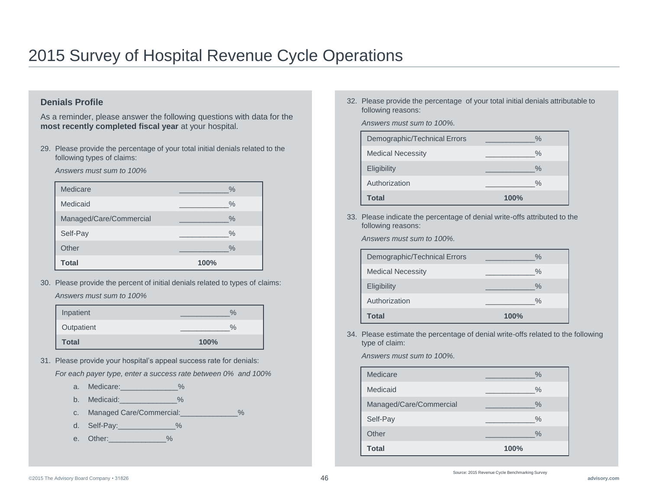#### **Denials Profile**

As a reminder, please answer the following questions with data for the **most recently completed fiscal year** at your hospital.

29. Please provide the percentage of your total initial denials related to the following types of claims:

*Answers must sum to 100%*

| Medicare                | $\frac{0}{0}$ |
|-------------------------|---------------|
| Medicaid                | $\frac{0}{0}$ |
| Managed/Care/Commercial | $\frac{0}{0}$ |
| Self-Pay                | $\frac{0}{0}$ |
| Other                   | $\frac{0}{0}$ |
| <b>Total</b>            | 100%          |

30. Please provide the percent of initial denials related to types of claims: *Answers must sum to 100%*

| Inpatient    | $\frac{1}{2}$ |
|--------------|---------------|
| Outpatient   | $\%$          |
| <b>Total</b> | 100%          |

31. Please provide your hospital's appeal success rate for denials:

*For each payer type, enter a success rate between 0% and 100%*

- a. Medicare: 0%
- b. Medicaid:  $\%$
- c. Managed Care/Commercial:\_\_\_\_\_\_\_\_\_\_\_\_\_\_%
- d. Self-Pay: 30 %
- e. Other: 30

32. Please provide the percentage of your total initial denials attributable to following reasons:

*Answers must sum to 100%.*

| Total                        | 100%          |
|------------------------------|---------------|
| Authorization                | $\frac{0}{0}$ |
| <b>Eligibility</b>           | $\%$          |
| <b>Medical Necessity</b>     | $\frac{0}{0}$ |
| Demographic/Technical Errors | $\%$          |

33. Please indicate the percentage of denial write-offs attributed to the following reasons:

*Answers must sum to 100%.*

| Demographic/Technical Errors | $\%$          |
|------------------------------|---------------|
| <b>Medical Necessity</b>     | $\%$          |
| Eligibility                  | $\%$          |
| Authorization                | $\frac{0}{0}$ |
| Total                        | 100%          |

34. Please estimate the percentage of denial write-offs related to the following type of claim:

*Answers must sum to 100%.*

| Medicare                | $\%$          |
|-------------------------|---------------|
| Medicaid                | $\%$          |
| Managed/Care/Commercial | $\frac{0}{0}$ |
| Self-Pay                | $\frac{0}{0}$ |
| Other                   | $\frac{0}{0}$ |
| <b>Total</b>            | 100%          |